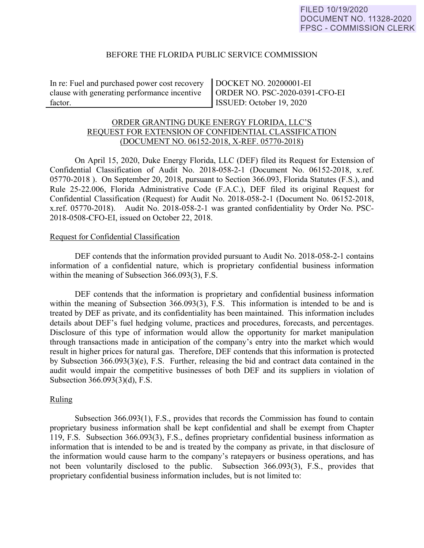### BEFORE THE FLORIDA PUBLIC SERVICE COMMISSION

In re: Fuel and purchased power cost recovery clause with generating performance incentive factor.

DOCKET NO. 20200001-EI ORDER NO. PSC-2020-0391-CFO-EI ISSUED: October 19, 2020

# ORDER GRANTING DUKE ENERGY FLORIDA, LLC'S REQUEST FOR EXTENSION OF CONFIDENTIAL CLASSIFICATION (DOCUMENT NO. 06152-2018, X-REF. 05770-2018)

 On April 15, 2020, Duke Energy Florida, LLC (DEF) filed its Request for Extension of Confidential Classification of Audit No. 2018-058-2-1 (Document No. 06152-2018, x.ref. 05770-2018 ). On September 20, 2018, pursuant to Section 366.093, Florida Statutes (F.S.), and Rule 25-22.006, Florida Administrative Code (F.A.C.), DEF filed its original Request for Confidential Classification (Request) for Audit No. 2018-058-2-1 (Document No. 06152-2018, x.ref. 05770-2018). Audit No. 2018-058-2-1 was granted confidentiality by Order No. PSC-2018-0508-CFO-EI, issued on October 22, 2018.

### Request for Confidential Classification

 DEF contends that the information provided pursuant to Audit No. 2018-058-2-1 contains information of a confidential nature, which is proprietary confidential business information within the meaning of Subsection 366.093(3), F.S.

DEF contends that the information is proprietary and confidential business information within the meaning of Subsection 366.093(3), F.S. This information is intended to be and is treated by DEF as private, and its confidentiality has been maintained. This information includes details about DEF's fuel hedging volume, practices and procedures, forecasts, and percentages. Disclosure of this type of information would allow the opportunity for market manipulation through transactions made in anticipation of the company's entry into the market which would result in higher prices for natural gas. Therefore, DEF contends that this information is protected by Subsection 366.093(3)(e), F.S. Further, releasing the bid and contract data contained in the audit would impair the competitive businesses of both DEF and its suppliers in violation of Subsection 366.093(3)(d), F.S.

# Ruling

Subsection 366.093(1), F.S., provides that records the Commission has found to contain proprietary business information shall be kept confidential and shall be exempt from Chapter 119, F.S. Subsection 366.093(3), F.S., defines proprietary confidential business information as information that is intended to be and is treated by the company as private, in that disclosure of the information would cause harm to the company's ratepayers or business operations, and has not been voluntarily disclosed to the public. Subsection 366.093(3), F.S., provides that proprietary confidential business information includes, but is not limited to: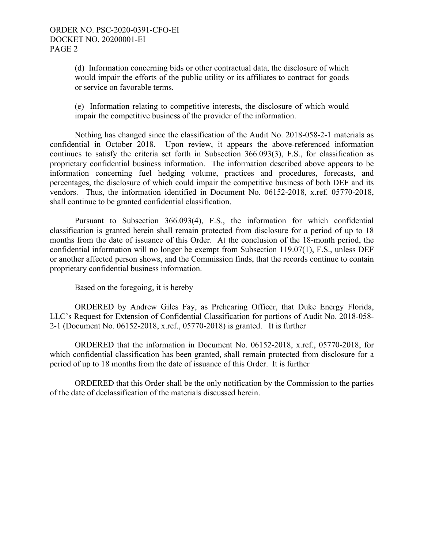(d) Information concerning bids or other contractual data, the disclosure of which would impair the efforts of the public utility or its affiliates to contract for goods or service on favorable terms.

(e) Information relating to competitive interests, the disclosure of which would impair the competitive business of the provider of the information.

Nothing has changed since the classification of the Audit No. 2018-058-2-1 materials as confidential in October 2018. Upon review, it appears the above-referenced information continues to satisfy the criteria set forth in Subsection 366.093(3), F.S., for classification as proprietary confidential business information. The information described above appears to be information concerning fuel hedging volume, practices and procedures, forecasts, and percentages, the disclosure of which could impair the competitive business of both DEF and its vendors. Thus, the information identified in Document No. 06152-2018, x.ref. 05770-2018, shall continue to be granted confidential classification.

Pursuant to Subsection 366.093(4), F.S., the information for which confidential classification is granted herein shall remain protected from disclosure for a period of up to 18 months from the date of issuance of this Order. At the conclusion of the 18-month period, the confidential information will no longer be exempt from Subsection 119.07(1), F.S., unless DEF or another affected person shows, and the Commission finds, that the records continue to contain proprietary confidential business information.

Based on the foregoing, it is hereby

 ORDERED by Andrew Giles Fay, as Prehearing Officer, that Duke Energy Florida, LLC's Request for Extension of Confidential Classification for portions of Audit No. 2018-058- 2-1 (Document No. 06152-2018, x.ref., 05770-2018) is granted. It is further

 ORDERED that the information in Document No. 06152-2018, x.ref., 05770-2018, for which confidential classification has been granted, shall remain protected from disclosure for a period of up to 18 months from the date of issuance of this Order. It is further

 ORDERED that this Order shall be the only notification by the Commission to the parties of the date of declassification of the materials discussed herein.